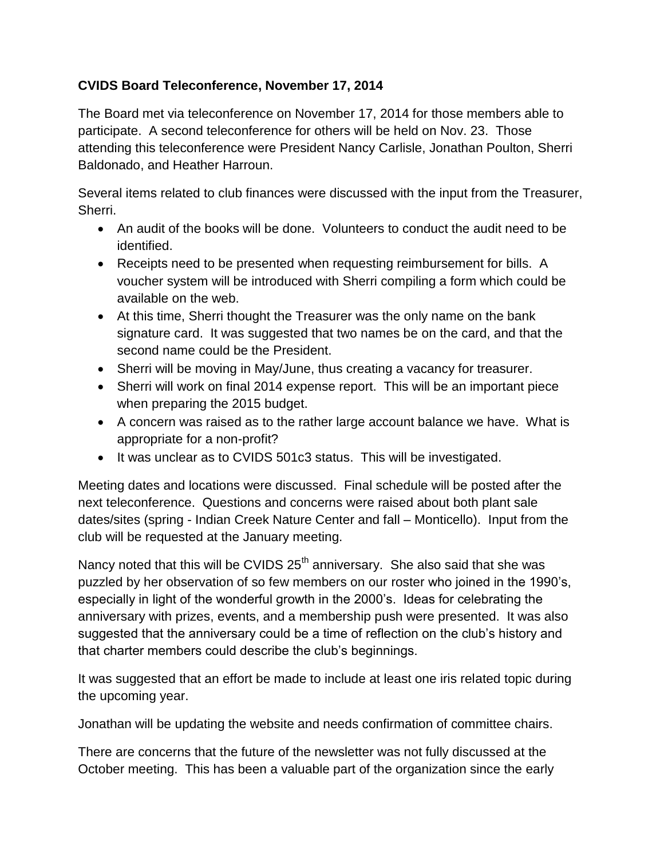## **CVIDS Board Teleconference, November 17, 2014**

The Board met via teleconference on November 17, 2014 for those members able to participate. A second teleconference for others will be held on Nov. 23. Those attending this teleconference were President Nancy Carlisle, Jonathan Poulton, Sherri Baldonado, and Heather Harroun.

Several items related to club finances were discussed with the input from the Treasurer, Sherri.

- An audit of the books will be done. Volunteers to conduct the audit need to be identified.
- Receipts need to be presented when requesting reimbursement for bills. A voucher system will be introduced with Sherri compiling a form which could be available on the web.
- At this time, Sherri thought the Treasurer was the only name on the bank signature card. It was suggested that two names be on the card, and that the second name could be the President.
- Sherri will be moving in May/June, thus creating a vacancy for treasurer.
- Sherri will work on final 2014 expense report. This will be an important piece when preparing the 2015 budget.
- A concern was raised as to the rather large account balance we have. What is appropriate for a non-profit?
- It was unclear as to CVIDS 501c3 status. This will be investigated.

Meeting dates and locations were discussed. Final schedule will be posted after the next teleconference. Questions and concerns were raised about both plant sale dates/sites (spring - Indian Creek Nature Center and fall – Monticello). Input from the club will be requested at the January meeting.

Nancy noted that this will be CVIDS 25<sup>th</sup> anniversary. She also said that she was puzzled by her observation of so few members on our roster who joined in the 1990's, especially in light of the wonderful growth in the 2000's. Ideas for celebrating the anniversary with prizes, events, and a membership push were presented. It was also suggested that the anniversary could be a time of reflection on the club's history and that charter members could describe the club's beginnings.

It was suggested that an effort be made to include at least one iris related topic during the upcoming year.

Jonathan will be updating the website and needs confirmation of committee chairs.

There are concerns that the future of the newsletter was not fully discussed at the October meeting. This has been a valuable part of the organization since the early